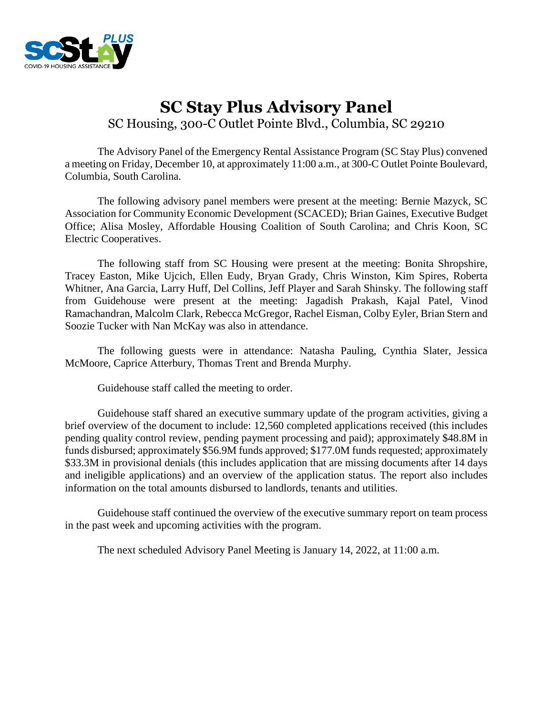

# **SC Stay Plus Advisory Panel** SC Housing, 300-C Outlet Pointe Blvd., Columbia, SC 29210

The Advisory Panel of the Emergency Rental Assistance Program (SC Stay Plus) convened a meeting on Friday, December 10, at approximately 11:00 a.m., at 300-C Outlet Pointe Boulevard, Columbia, South Carolina.

The following advisory panel members were present at the meeting: Bernie Mazyck, SC Association for Community Economic Development (SCACED); Brian Gaines, Executive Budget Office; Alisa Mosley, Affordable Housing Coalition of South Carolina; and Chris Koon, SC Electric Cooperatives.

The following staff from SC Housing were present at the meeting: Bonita Shropshire, Tracey Easton, Mike Ujcich, Ellen Eudy, Bryan Grady, Chris Winston, Kim Spires, Roberta Whitner, Ana Garcia, Larry Huff, Del Collins, Jeff Player and Sarah Shinsky. The following staff from Guidehouse were present at the meeting: Jagadish Prakash, Kajal Patel, Vinod Ramachandran, Malcolm Clark, Rebecca McGregor, Rachel Eisman, Colby Eyler, Brian Stern and Soozie Tucker with Nan McKay was also in attendance.

The following guests were in attendance: Natasha Pauling, Cynthia Slater, Jessica McMoore, Caprice Atterbury, Thomas Trent and Brenda Murphy.

Guidehouse staff called the meeting to order.

Guidehouse staff shared an executive summary update of the program activities, giving a brief overview of the document to include: 12,560 completed applications received (this includes pending quality control review, pending payment processing and paid); approximately \$48.8M in funds disbursed; approximately \$56.9M funds approved; \$177.0M funds requested; approximately \$33.3M in provisional denials (this includes application that are missing documents after 14 days and ineligible applications) and an overview of the application status. The report also includes information on the total amounts disbursed to landlords, tenants and utilities.

Guidehouse staff continued the overview of the executive summary report on team process in the past week and upcoming activities with the program.

The next scheduled Advisory Panel Meeting is January 14, 2022, at 11:00 a.m.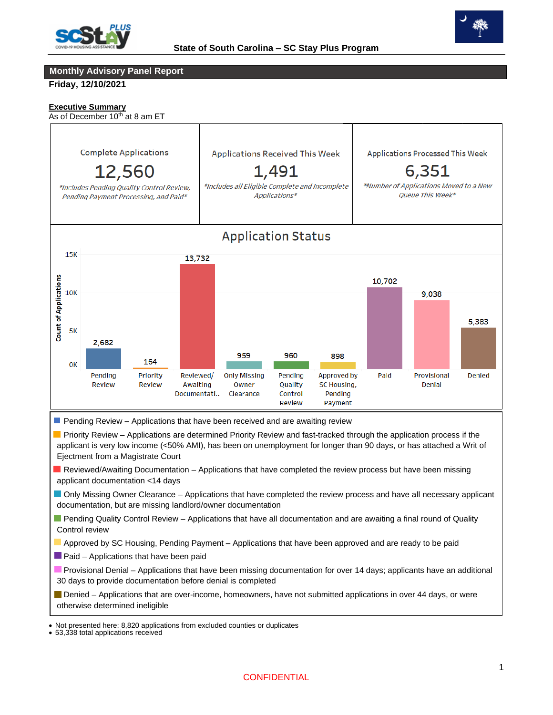



# **Monthly Advisory Panel Report**

**Friday, 12/10/2021**

#### **Executive Summary**

As of December  $10<sup>th</sup>$  at 8 am ET



- Reviewed/Awaiting Documentation Applications that have completed the review process but have been missing applicant documentation <14 days
- Only Missing Owner Clearance Applications that have completed the review process and have all necessary applicant documentation, but are missing landlord/owner documentation
- **Pending Quality Control Review Applications that have all documentation and are awaiting a final round of Quality** Control review
- Approved by SC Housing, Pending Payment Applications that have been approved and are ready to be paid
- $\blacksquare$  Paid Applications that have been paid
- **Provisional Denial Applications that have been missing documentation for over 14 days; applicants have an additional** 30 days to provide documentation before denial is completed
- Denied Applications that are over-income, homeowners, have not submitted applications in over 44 days, or were otherwise determined ineligible

 • Not presented here: 8,820 applications from excluded counties or duplicates

<sup>•</sup> 53,338 total applications received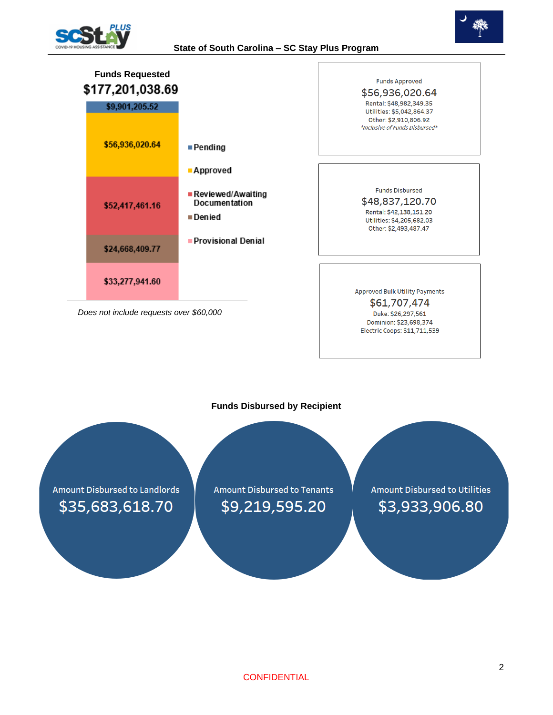

### **State of South Carolina – SC Stay Plus Program**





#### **Funds Disbursed by Recipient**

**Amount Disbursed to Landlords** \$35,683,618.70

**Amount Disbursed to Tenants** \$9,219,595.20

**Amount Disbursed to Utilities** \$3,933,906.80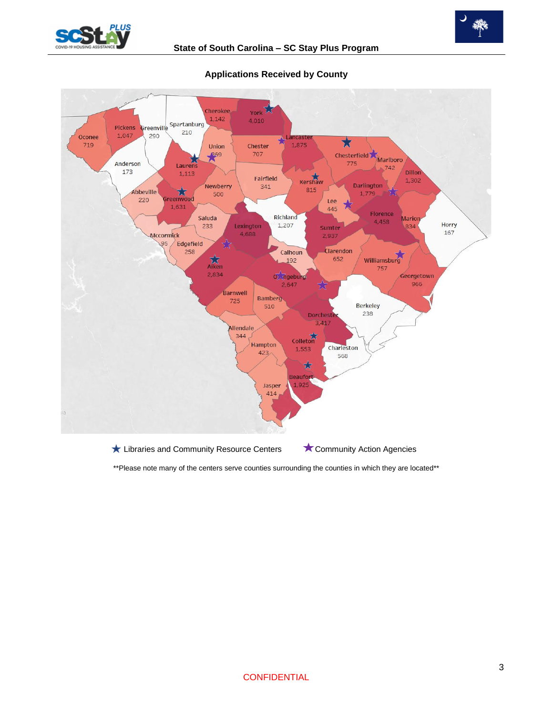



# **Applications Received by County**

\*\*Please note many of the centers serve counties surrounding the counties in which they are located\*\*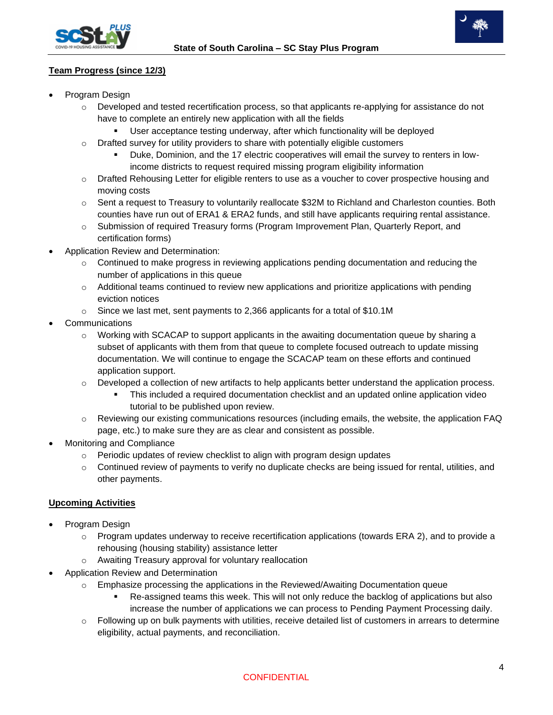



# **Team Progress (since 12/3)**

- Program Design
	- $\circ$  Developed and tested recertification process, so that applicants re-applying for assistance do not have to complete an entirely new application with all the fields
		- User acceptance testing underway, after which functionality will be deployed
	- $\circ$  Drafted survey for utility providers to share with potentially eligible customers
		- Duke, Dominion, and the 17 electric cooperatives will email the survey to renters in lowincome districts to request required missing program eligibility information
	- o Drafted Rehousing Letter for eligible renters to use as a voucher to cover prospective housing and moving costs
	- $\circ$  Sent a request to Treasury to voluntarily reallocate \$32M to Richland and Charleston counties. Both counties have run out of ERA1 & ERA2 funds, and still have applicants requiring rental assistance.
	- $\circ$  Submission of required Treasury forms (Program Improvement Plan, Quarterly Report, and certification forms)
- Application Review and Determination:
	- $\circ$  Continued to make progress in reviewing applications pending documentation and reducing the number of applications in this queue
	- $\circ$  Additional teams continued to review new applications and prioritize applications with pending eviction notices
	- o Since we last met, sent payments to 2,366 applicants for a total of \$10.1M
- **Communications** 
	- $\circ$  Working with SCACAP to support applicants in the awaiting documentation queue by sharing a subset of applicants with them from that queue to complete focused outreach to update missing documentation. We will continue to engage the SCACAP team on these efforts and continued application support.
	- $\circ$  Developed a collection of new artifacts to help applicants better understand the application process.
		- **•** This included a required documentation checklist and an updated online application video tutorial to be published upon review.
	- $\circ$  Reviewing our existing communications resources (including emails, the website, the application FAQ page, etc.) to make sure they are as clear and consistent as possible.
- Monitoring and Compliance
	- $\circ$  Periodic updates of review checklist to align with program design updates
	- $\circ$  Continued review of payments to verify no duplicate checks are being issued for rental, utilities, and other payments.

# **Upcoming Activities**

- Program Design
	- $\circ$  Program updates underway to receive recertification applications (towards ERA 2), and to provide a rehousing (housing stability) assistance letter
	- o Awaiting Treasury approval for voluntary reallocation
- Application Review and Determination
	- $\circ$  Emphasize processing the applications in the Reviewed/Awaiting Documentation queue
		- Re-assigned teams this week. This will not only reduce the backlog of applications but also increase the number of applications we can process to Pending Payment Processing daily.
	- o Following up on bulk payments with utilities, receive detailed list of customers in arrears to determine eligibility, actual payments, and reconciliation.